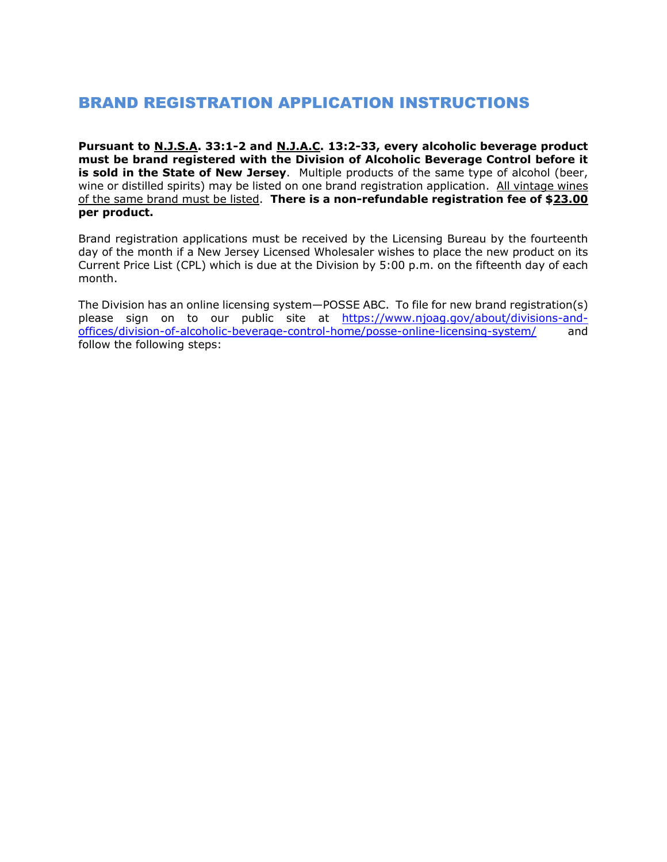# BRAND REGISTRATION APPLICATION INSTRUCTIONS

**Pursuant to N.J.S.A. 33:1-2 and N.J.A.C. 13:2-33, every alcoholic beverage product must be brand registered with the Division of Alcoholic Beverage Control before it is sold in the State of New Jersey**. Multiple products of the same type of alcohol (beer, wine or distilled spirits) may be listed on one brand registration application. All vintage wines of the same brand must be listed. **There is a non-refundable registration fee of \$23.00 per product.**

Brand registration applications must be received by the Licensing Bureau by the fourteenth day of the month if a New Jersey Licensed Wholesaler wishes to place the new product on its Current Price List (CPL) which is due at the Division by 5:00 p.m. on the fifteenth day of each month.

The Division has an online licensing system—POSSE ABC. To file for new brand registration(s) please sign on to our public site at [https://www.njoag.gov/about/divisions-and](https://www.njoag.gov/about/divisions-and-offices/division-of-alcoholic-beverage-control-home/posse-online-licensing-system/)[offices/division-of-alcoholic-beverage-control-home/posse-online-licensing-system/](https://www.njoag.gov/about/divisions-and-offices/division-of-alcoholic-beverage-control-home/posse-online-licensing-system/) and follow the following steps: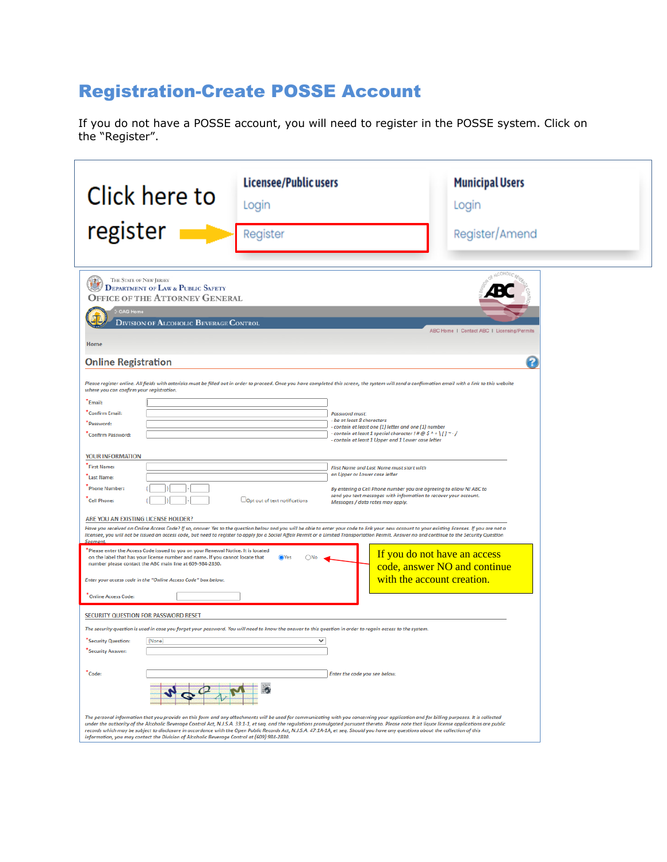# Registration-Create POSSE Account

If you do not have a POSSE account, you will need to register in the POSSE system. Click on the "Register".

| Click here to<br>register                                                                                                                                                                                                                                                                                                                                                                                                                                                                       | Licensee/Public users<br>Login<br>Register                                                                                                                                                                                                                                                                                                                                                                                                                                                                                                                                                                                                                                                                                                 | <b>Municipal Users</b><br>Login<br>Register/Amend                                          |
|-------------------------------------------------------------------------------------------------------------------------------------------------------------------------------------------------------------------------------------------------------------------------------------------------------------------------------------------------------------------------------------------------------------------------------------------------------------------------------------------------|--------------------------------------------------------------------------------------------------------------------------------------------------------------------------------------------------------------------------------------------------------------------------------------------------------------------------------------------------------------------------------------------------------------------------------------------------------------------------------------------------------------------------------------------------------------------------------------------------------------------------------------------------------------------------------------------------------------------------------------------|--------------------------------------------------------------------------------------------|
| THE STATE OF NEW JERSEY<br>P,<br><b>DEPARTMENT OF LAW &amp; PUBLIC SAFETY</b><br><b>OFFICE OF THE ATTORNEY GENERAL</b><br><b>OAG Home</b><br>DIVISION OF ALCOHOLIC BEVERAGE CONTROL<br>Home<br><b>Online Registration</b>                                                                                                                                                                                                                                                                       |                                                                                                                                                                                                                                                                                                                                                                                                                                                                                                                                                                                                                                                                                                                                            | ABC Home 1 Contact ABC 1 Licensing/Permits<br>12                                           |
| where you can confirm your registration.<br>Email:<br>"Confirm Email:<br>Password:<br>Confirm Password:<br>YOUR INFORMATION<br>First Name:<br>Last Name:<br><b>Phone Number:</b><br><b>Cell Phone:</b>                                                                                                                                                                                                                                                                                          | Please register online. All fields with asterisks must be filled out in order to proceed. Once you have completed this screen, the system will send a confirmation email with a link to this website<br><b>Password must:</b><br>- be at least 8 characters<br>- contain at least one (1) letter and one (1) number<br>- contain at least 1 special character ! # @ \$ ^ + \ [ ] ~ - /<br>- contain at least 1 Upper and 1 Lower case letter<br>First Name and Last Name must start with<br>an Upper or Lower case letter<br>By entering a Cell Phone number you are agreeing to allow NJ ABC to<br>send you text messages with information to recover your account.<br>OOpt out of text notifications<br>Messages / data rates may apply. |                                                                                            |
| ARE YOU AN EXISTING LICENSE HOLDER?<br>Segment.<br>* Please enter the Access Code issued to you on your Renewal Notice. It is located<br>on the label that has your license number and name. If you cannot locate that<br>number please contact the ABC main line at 609-984-2830.<br>Enter your access code in the "Online Access Code" box below.<br><b>Online Access Code:</b><br>SECURITY QUESTION FOR PASSWORD RESET<br>"Security Question:<br>(None)<br><b>Security Answer:</b><br>"Code: | Have you received an Online Access Code? If so, answer Yes to the question below and you will be able to enter your code to link your new account to your existing licenses. If you are not a<br>licensee, you will not be issued an access code, but need to register to apply for a Social Affair Permit or a Limited Transportation Permit. Answer no and continue to the Security Question<br><b>O</b> Yes<br>The security question is used in case you forget your password. You will need to know the answer to this question in order to regain access to the system.<br>v<br>Enter the code you see below.                                                                                                                         | If you do not have an access<br>code, answer NO and continue<br>with the account creation. |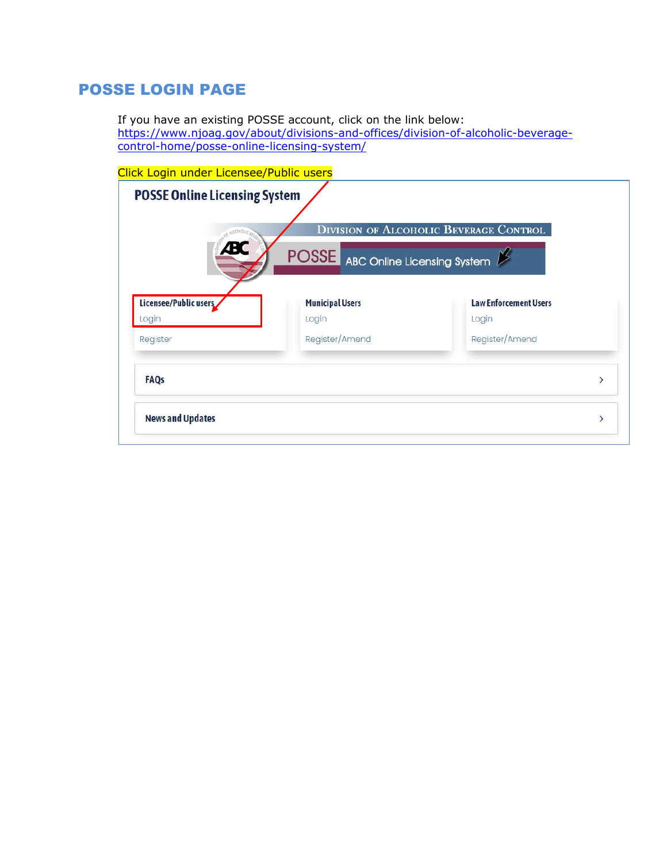## POSSE LOGIN PAGE

If you have an existing POSSE account, click on the link below: [https://www.njoag.gov/about/divisions-and-offices/division-of-alcoholic-beverage](https://www.njoag.gov/about/divisions-and-offices/division-of-alcoholic-beverage-control-home/posse-online-licensing-system/)[control-home/posse-online-licensing-system/](https://www.njoag.gov/about/divisions-and-offices/division-of-alcoholic-beverage-control-home/posse-online-licensing-system/)

|                                |                                          | <b>DIVISION OF ALCOHOLIC BEVERAGE CONTROL</b> |
|--------------------------------|------------------------------------------|-----------------------------------------------|
| $\mathbf{R}$                   | <b>POSSE</b> ABC Online Licensing System |                                               |
| Licensee/Public users<br>Login | <b>Municipal Users</b><br>Login          | <b>Law Enforcement Users</b><br>Login         |
| Register                       | Register/Amend                           | Register/Amend                                |
| <b>FAQs</b>                    |                                          | $\mathcal{E}$                                 |
|                                |                                          |                                               |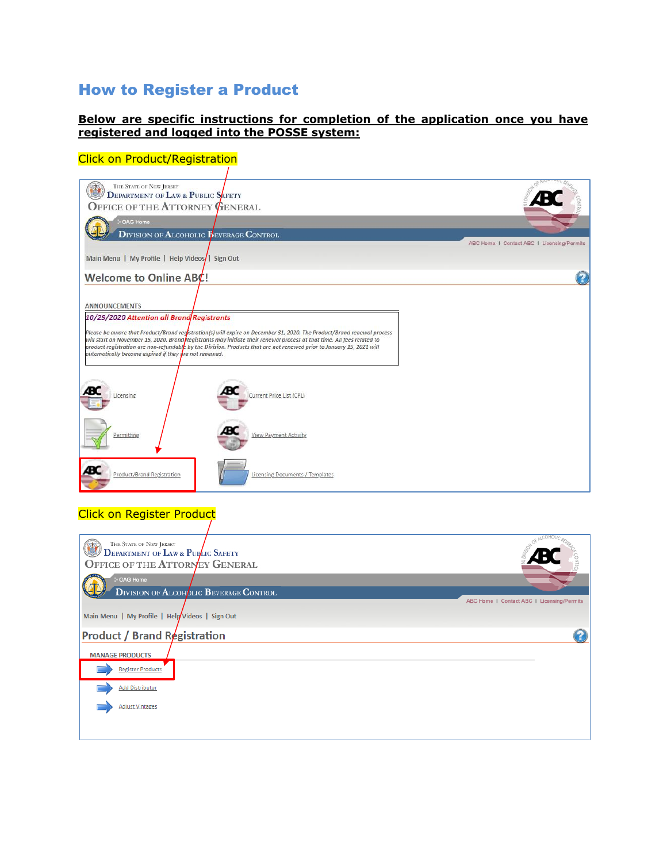## How to Register a Product

#### **Below are specific instructions for completion of the application once you have registered and logged into the POSSE system:**

#### Click on Product/Registration

| THE STATE OF NEW JERSEY<br><b>DEPARTMENT OF LAW &amp; PUBLIC SAFETY</b><br>OFFICE OF THE ATTORNEY GENERAL                                                                                                                                                                                                                                                                                                                                                                                                 |                                            |
|-----------------------------------------------------------------------------------------------------------------------------------------------------------------------------------------------------------------------------------------------------------------------------------------------------------------------------------------------------------------------------------------------------------------------------------------------------------------------------------------------------------|--------------------------------------------|
| - OAG Home<br><b>DIVISION OF ALCOHOLIC PEVERAGE CONTROL</b><br>Main Menu   My Profile   Help Videos/   Sign Out                                                                                                                                                                                                                                                                                                                                                                                           | ABC Home 1 Contact ABC 1 Licensing/Permits |
| Welcome to Online ABC!                                                                                                                                                                                                                                                                                                                                                                                                                                                                                    |                                            |
| <b>ANNOUNCEMENTS</b><br>10/29/2020 Attention all Brand Registrants<br>Please be aware that Product/Brand registration(s) will expire on December 31, 2020. The Product/Brand renewal process<br>will start on November 15, 2020. Brand Registrants may initiate their renewal process at that time. All fees related to<br>product registration are non-refundable by the Division. Products that are not renewed prior to January 15, 2021 will<br>automatically become expired if they are not renewed. |                                            |
| Current Price List (CPL)<br>Licensing                                                                                                                                                                                                                                                                                                                                                                                                                                                                     |                                            |
| View Payment Activity<br>Permitting                                                                                                                                                                                                                                                                                                                                                                                                                                                                       |                                            |
| Product/Brand Registration<br>Licensing Documents / Templates                                                                                                                                                                                                                                                                                                                                                                                                                                             |                                            |

#### Click on Register Product

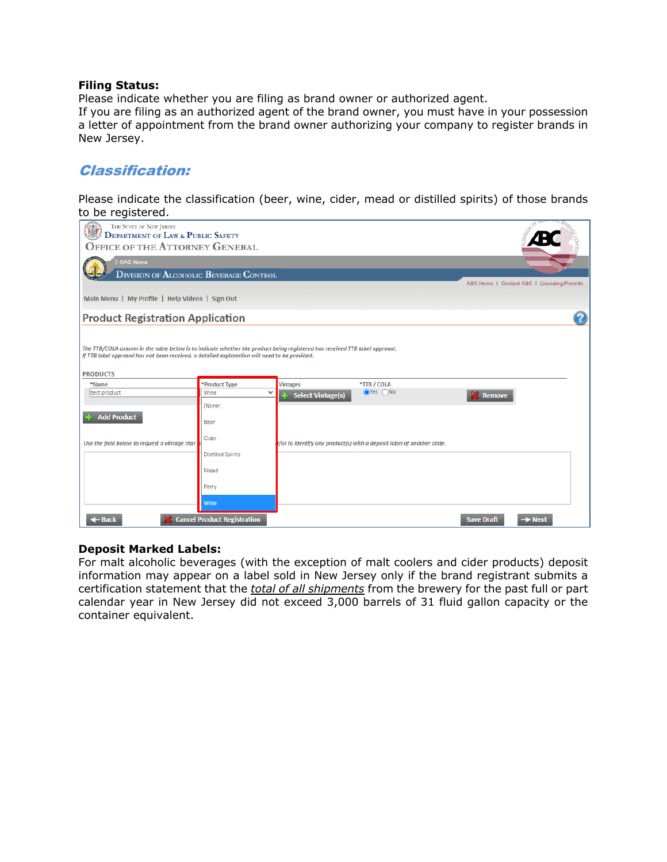#### **Filing Status:**

Please indicate whether you are filing as brand owner or authorized agent.

If you are filing as an authorized agent of the brand owner, you must have in your possession a letter of appointment from the brand owner authorizing your company to register brands in New Jersey.

### Classification:

Please indicate the classification (beer, wine, cider, mead or distilled spirits) of those brands to be registered.

| <br>THE STATE OF NEW JERSEY<br><b>DEPARTMENT OF LAW &amp; PUBLIC SAFETY</b><br><b>OFFICE OF THE ATTORNEY GENERAL</b><br><b>OAG Home</b>                                                                                                         |                             |                          |                                                                       |                   |                                            |
|-------------------------------------------------------------------------------------------------------------------------------------------------------------------------------------------------------------------------------------------------|-----------------------------|--------------------------|-----------------------------------------------------------------------|-------------------|--------------------------------------------|
| <b>DIVISION OF ALCOHOLIC BEVERAGE CONTROL</b>                                                                                                                                                                                                   |                             |                          |                                                                       |                   | ABC Home   Contact ABC   Licensing/Permits |
| Main Menu   My Profile   Help Videos   Sign Out                                                                                                                                                                                                 |                             |                          |                                                                       |                   |                                            |
| <b>Product Registration Application</b>                                                                                                                                                                                                         |                             |                          |                                                                       |                   |                                            |
| The TTB/COLA column in the table below is to indicate whether the product being registered has received TTB label approval.<br>If TTB label approval has not been received, a detailed explanation will need to be provided.<br><b>PRODUCTS</b> |                             |                          |                                                                       |                   |                                            |
| *Name                                                                                                                                                                                                                                           | *Product Type               | <b>Vintages</b>          | *TTB / COLA                                                           |                   |                                            |
| test product                                                                                                                                                                                                                                    | Wine<br>$\checkmark$        | <b>Select Vintage(s)</b> | $OYes$ $ONo$                                                          | <b>X</b> Remove   |                                            |
| <b>Add Product</b>                                                                                                                                                                                                                              | (None)<br><b>Beer</b>       |                          |                                                                       |                   |                                            |
| Use the field below to request a vintage that                                                                                                                                                                                                   | Cider                       |                          | /or to identify any product(s) with a deposit label of another state. |                   |                                            |
|                                                                                                                                                                                                                                                 | <b>Distilled Spirits</b>    |                          |                                                                       |                   |                                            |
|                                                                                                                                                                                                                                                 | Mead                        |                          |                                                                       |                   |                                            |
|                                                                                                                                                                                                                                                 | Perry                       |                          |                                                                       |                   |                                            |
|                                                                                                                                                                                                                                                 | Wine                        |                          |                                                                       |                   |                                            |
| $\leftarrow$ Back                                                                                                                                                                                                                               | Cancel Product Registration |                          |                                                                       | <b>Save Draft</b> | $\rightarrow$ Next                         |

#### **Deposit Marked Labels:**

For malt alcoholic beverages (with the exception of malt coolers and cider products) deposit information may appear on a label sold in New Jersey only if the brand registrant submits a certification statement that the *total of all shipments* from the brewery for the past full or part calendar year in New Jersey did not exceed 3,000 barrels of 31 fluid gallon capacity or the container equivalent.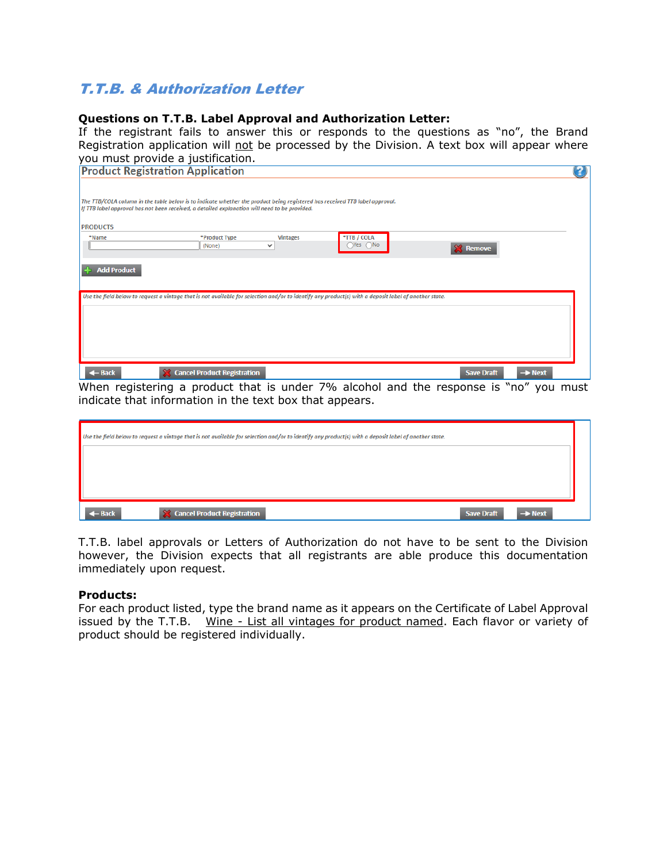# T.T.B. & Authorization Letter

#### **Questions on T.T.B. Label Approval and Authorization Letter:**

If the registrant fails to answer this or responds to the questions as "no", the Brand Registration application will not be processed by the Division. A text box will appear where you must provide a justification.

| <b>Product Registration Application</b>                                                                                                                                                                                      |  |
|------------------------------------------------------------------------------------------------------------------------------------------------------------------------------------------------------------------------------|--|
| The TTB/COLA column in the table below is to indicate whether the product being registered has received TTB label approval.<br>If TTB label approval has not been received, a detailed explanation will need to be provided. |  |
| <b>PRODUCTS</b>                                                                                                                                                                                                              |  |
| *TTB / COLA<br>*Product Type<br><b>Vintages</b><br>*Name<br>$O$ Yes $O$ No<br>(None)<br>$\checkmark$<br><b>X</b> Remove                                                                                                      |  |
| <b>Add Product</b><br>C.                                                                                                                                                                                                     |  |
| Use the field below to request a vintage that is not available for selection and/or to identify any product(s) with a deposit label of another state.                                                                        |  |
|                                                                                                                                                                                                                              |  |
|                                                                                                                                                                                                                              |  |
|                                                                                                                                                                                                                              |  |
| <b>X</b> Cancel Product Registration<br>$\leftarrow$ Back<br><b>Save Draft</b><br>$\rightarrow$ Next                                                                                                                         |  |

When registering a product that is under 7% alcohol and the response is "no" you must indicate that information in the text box that appears.

| Use the field below to request a vintage that is not available for selection and/or to identify any product(s) with a deposit label of another state. |                                     |                   |                    |  |
|-------------------------------------------------------------------------------------------------------------------------------------------------------|-------------------------------------|-------------------|--------------------|--|
|                                                                                                                                                       |                                     |                   |                    |  |
|                                                                                                                                                       |                                     |                   |                    |  |
|                                                                                                                                                       |                                     |                   |                    |  |
| t Back                                                                                                                                                | <b>Stancel Product Registration</b> | <b>Save Draft</b> | $\rightarrow$ Next |  |

T.T.B. label approvals or Letters of Authorization do not have to be sent to the Division however, the Division expects that all registrants are able produce this documentation immediately upon request.

#### **Products:**

For each product listed, type the brand name as it appears on the Certificate of Label Approval issued by the T.T.B. Wine - List all vintages for product named. Each flavor or variety of product should be registered individually.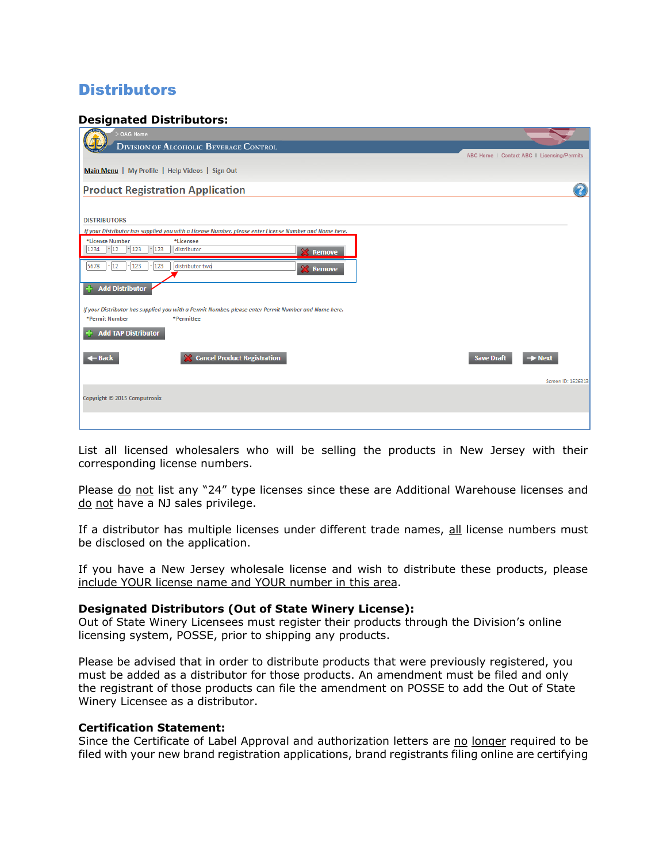# **Distributors**

#### **Designated Distributors:**

| OAG Home                                                                                               |                                            |
|--------------------------------------------------------------------------------------------------------|--------------------------------------------|
| <b>DIVISION OF ALCOHOLIC BEVERAGE CONTROL</b>                                                          | ABC Home I Contact ABC I Licensing/Permits |
| Main Menu   My Profile   Help Videos   Sign Out                                                        |                                            |
| <b>Product Registration Application</b>                                                                |                                            |
|                                                                                                        |                                            |
| <b>DISTRIBUTORS</b>                                                                                    |                                            |
| If your Distributor has supplied you with a License Number, please enter License Number and Name here. |                                            |
| *License Number<br>*Licensee<br>123<br>$-123$<br>1234<br> 12<br>distributor<br><b>X</b> Remove         |                                            |
| 123<br>5678<br>$ 12\rangle$<br>$-123$<br>distributor two<br><b>X</b> Remove                            |                                            |
| <b>Add Distributor</b>                                                                                 |                                            |
| If your Distributor has supplied you with a Permit Number, please enter Permit Number and Name here.   |                                            |
| *Permit Number<br>*Permittee                                                                           |                                            |
| <b>Add TAP Distributor</b>                                                                             |                                            |
| <b>Cancel Product Registration</b><br>$\leftarrow$ Back                                                | <b>Save Draft</b><br>$\rightarrow$ Next    |
|                                                                                                        | Screen ID: 1626313                         |
| Copyright © 2015 Computronix                                                                           |                                            |
|                                                                                                        |                                            |

List all licensed wholesalers who will be selling the products in New Jersey with their corresponding license numbers.

Please do not list any "24" type licenses since these are Additional Warehouse licenses and do not have a NJ sales privilege.

If a distributor has multiple licenses under different trade names, all license numbers must be disclosed on the application.

If you have a New Jersey wholesale license and wish to distribute these products, please include YOUR license name and YOUR number in this area.

#### **Designated Distributors (Out of State Winery License):**

Out of State Winery Licensees must register their products through the Division's online licensing system, POSSE, prior to shipping any products.

Please be advised that in order to distribute products that were previously registered, you must be added as a distributor for those products. An amendment must be filed and only the registrant of those products can file the amendment on POSSE to add the Out of State Winery Licensee as a distributor.

#### **Certification Statement:**

Since the Certificate of Label Approval and authorization letters are no longer required to be filed with your new brand registration applications, brand registrants filing online are certifying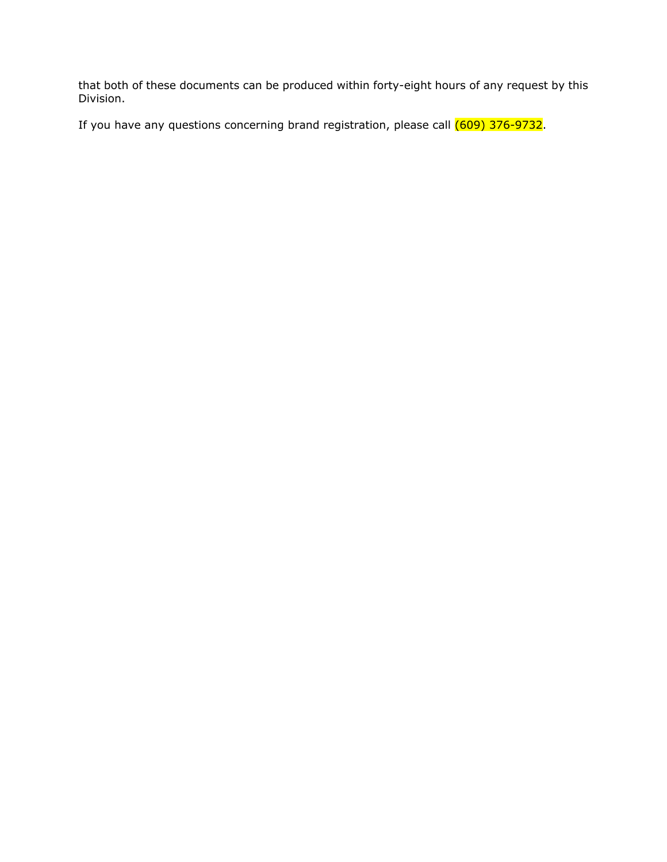that both of these documents can be produced within forty-eight hours of any request by this Division.

If you have any questions concerning brand registration, please call  $(609)$  376-9732.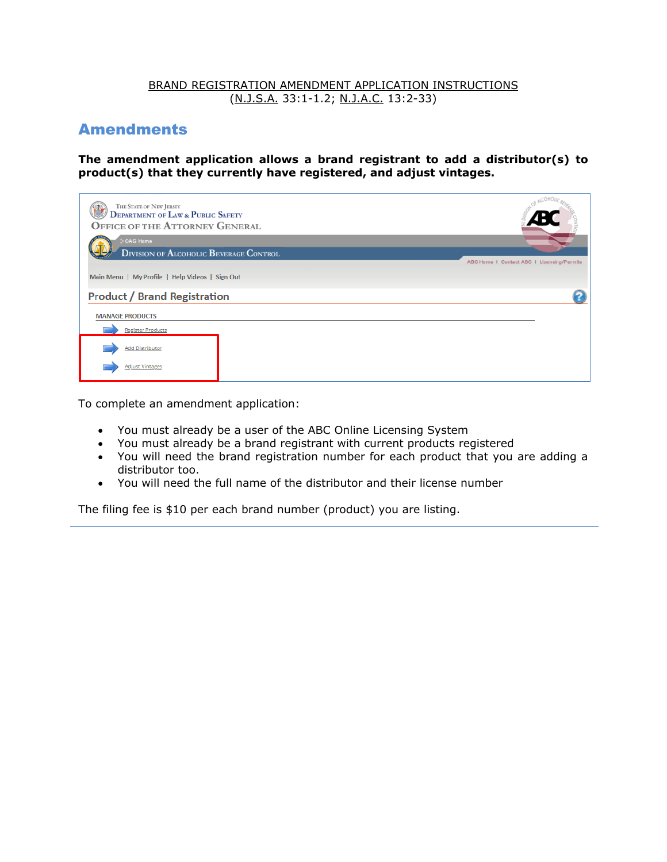#### BRAND REGISTRATION AMENDMENT APPLICATION INSTRUCTIONS (N.J.S.A. 33:1-1.2; N.J.A.C. 13:2-33)

## **Amendments**

**The amendment application allows a brand registrant to add a distributor(s) to product(s) that they currently have registered, and adjust vintages.** 

| THE STATE OF NEW JERSEY<br><b>DEPARTMENT OF LAW &amp; PUBLIC SAFETY</b><br><b>OFFICE OF THE ATTORNEY GENERAL</b> |                                            |
|------------------------------------------------------------------------------------------------------------------|--------------------------------------------|
| OAG Home<br><b>DIVISION OF ALCOHOLIC BEVERAGE CONTROL</b>                                                        | ABC Home I Contact ABC I Licensing/Permits |
| Main Menu   My Profile   Help Videos   Sign Out                                                                  |                                            |
| <b>Product / Brand Registration</b><br><b>MANAGE PRODUCTS</b>                                                    |                                            |
| <b>Register Products</b>                                                                                         |                                            |
| <b>Add Distributor</b><br><b>Adjust Vintages</b>                                                                 |                                            |

To complete an amendment application:

- You must already be a user of the ABC Online Licensing System
- You must already be a brand registrant with current products registered
- You will need the brand registration number for each product that you are adding a distributor too.
- You will need the full name of the distributor and their license number

The filing fee is \$10 per each brand number (product) you are listing.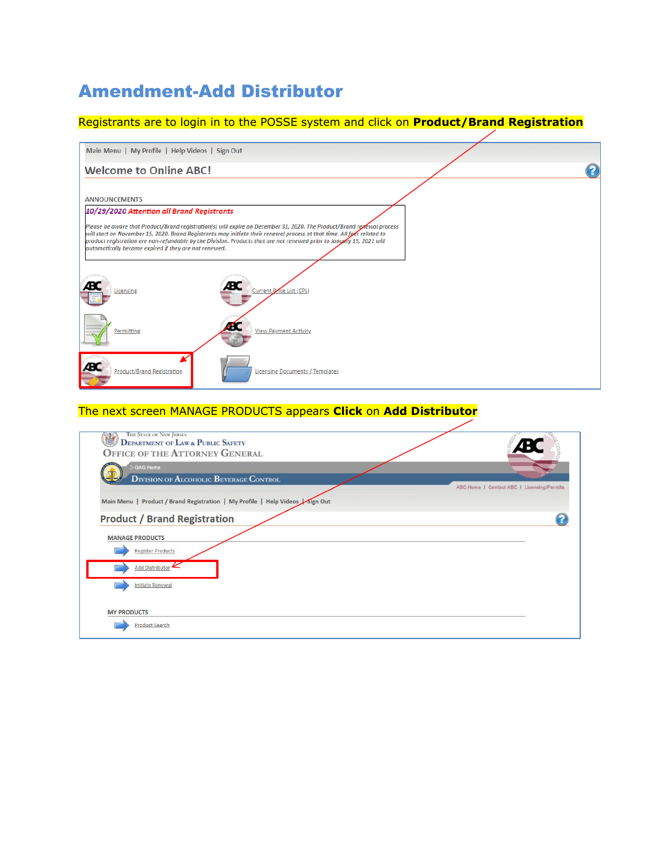# Amendment-Add Distributor

### Registrants are to login in to the POSSE system and click on **Product/Brand Registration**

| Main Menu   My Profile   Help Videos   Sign Out                                                                                                                                                                                                                                                                                                                                                                                     |  |
|-------------------------------------------------------------------------------------------------------------------------------------------------------------------------------------------------------------------------------------------------------------------------------------------------------------------------------------------------------------------------------------------------------------------------------------|--|
| <b>Welcome to Online ABC!</b>                                                                                                                                                                                                                                                                                                                                                                                                       |  |
|                                                                                                                                                                                                                                                                                                                                                                                                                                     |  |
| <b>ANNOUNCEMENTS</b>                                                                                                                                                                                                                                                                                                                                                                                                                |  |
| 10/29/2020 Attention all Brand Registrants                                                                                                                                                                                                                                                                                                                                                                                          |  |
| Please be aware that Product/Brand registration(s) will expire on December 31, 2020. The Product/Brand repewal process<br>will start on November 15, 2020. Brand Registrants may initiate their renewal process at that time. All fees related to<br>product registration are non-refundable by the Division. Products that are not renewed prior to January 15, 2021 will<br>automatically become expired if they are not renewed. |  |
| Æ<br>RC<br>Current Price List (CPL)<br>Licensing                                                                                                                                                                                                                                                                                                                                                                                    |  |
| Permitting<br><b>View Payment Activity</b>                                                                                                                                                                                                                                                                                                                                                                                          |  |
| Æ<br><b>Product/Brand Registration</b><br>Licensing Documents / Templates                                                                                                                                                                                                                                                                                                                                                           |  |

### The next screen MANAGE PRODUCTS appears **Click** on **Add Distributor**

| THE STATE OF NEW JERSEY<br><b>DEPARTMENT OF LAW &amp; PUBLIC SAFETY</b>      |                                            |
|------------------------------------------------------------------------------|--------------------------------------------|
| <b>OFFICE OF THE ATTORNEY GENERAL</b>                                        |                                            |
| <b>OAG Home</b>                                                              |                                            |
| <b>DIVISION OF ALCOHOLIC BEVERAGE CONTROL</b>                                |                                            |
|                                                                              | ABC Home I Contact ABC I Licensing/Permits |
| Main Menu   Product / Brand Registration   My Profile   Help Videos Sign Out |                                            |
|                                                                              |                                            |
| <b>Product / Brand Registration</b>                                          |                                            |
|                                                                              |                                            |
| <b>MANAGE PRODUCTS</b>                                                       |                                            |
| <b>Register Products</b>                                                     |                                            |
| Add Distributor                                                              |                                            |
|                                                                              |                                            |
| <b>Initiate Renewal</b>                                                      |                                            |
|                                                                              |                                            |
|                                                                              |                                            |
| <b>MY PRODUCTS</b>                                                           |                                            |
| Product Search                                                               |                                            |
|                                                                              |                                            |
|                                                                              |                                            |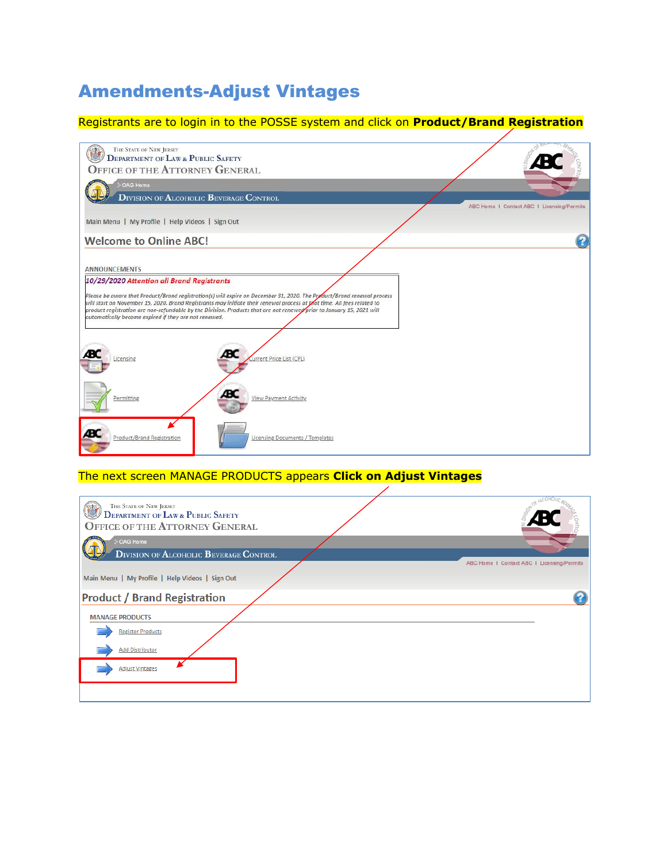# Amendments-Adjust Vintages

### Registrants are to login in to the POSSE system and click on **Product/Brand Registration**



### The next screen MANAGE PRODUCTS appears **Click on Adjust Vintages**

| THE STATE OF NEW JERSEY<br><b>DEPARTMENT OF LAW &amp; PUBLIC SAFETY</b><br><b>OFFICE OF THE ATTORNEY GENERAL</b> |                                            |
|------------------------------------------------------------------------------------------------------------------|--------------------------------------------|
| OAG Home                                                                                                         |                                            |
| <b>DIVISION OF ALCOHOLIC BEVERAGE CONTROL</b>                                                                    |                                            |
|                                                                                                                  | ABC Home   Contact ABC   Licensing/Permits |
| Main Menu   My Profile   Help Videos   Sign Out                                                                  |                                            |
| <b>Product / Brand Registration</b>                                                                              |                                            |
| <b>MANAGE PRODUCTS</b>                                                                                           |                                            |
| <b>Register Products</b>                                                                                         |                                            |
| <b>Add Distributor</b>                                                                                           |                                            |
| <b>Adjust Vintages</b>                                                                                           |                                            |
|                                                                                                                  |                                            |